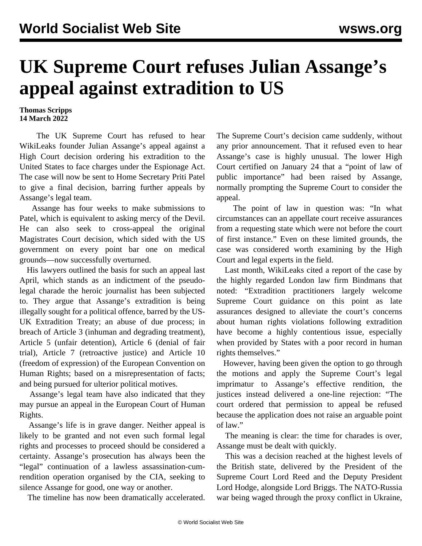## **UK Supreme Court refuses Julian Assange's appeal against extradition to US**

## **Thomas Scripps 14 March 2022**

 The UK Supreme Court has refused to hear WikiLeaks founder Julian Assange's appeal against a High Court decision ordering his extradition to the United States to face charges under the Espionage Act. The case will now be sent to Home Secretary Priti Patel to give a final decision, barring further appeals by Assange's legal team.

 Assange has four weeks to make submissions to Patel, which is equivalent to asking mercy of the Devil. He can also seek to cross-appeal the original Magistrates Court decision, which sided with the US government on every point bar one on medical grounds—now successfully overturned.

 His lawyers outlined the basis for such an appeal last April, which stands as an indictment of the pseudolegal charade the heroic journalist has been subjected to. They argue that Assange's extradition is being illegally sought for a political offence, barred by the US-UK Extradition Treaty; an abuse of due process; in breach of Article 3 (inhuman and degrading treatment), Article 5 (unfair detention), Article 6 (denial of fair trial), Article 7 (retroactive justice) and Article 10 (freedom of expression) of the European Convention on Human Rights; based on a misrepresentation of facts; and being pursued for ulterior political motives.

 Assange's legal team have also indicated that they may pursue an appeal in the European Court of Human Rights.

 Assange's life is in grave danger. Neither appeal is likely to be granted and not even such formal legal rights and processes to proceed should be considered a certainty. Assange's prosecution has always been the "legal" continuation of a lawless assassination-cumrendition operation organised by the CIA, seeking to silence Assange for good, one way or another.

The timeline has now been dramatically accelerated.

The Supreme Court's decision came suddenly, without any prior announcement. That it refused even to hear Assange's case is highly unusual. The lower High Court certified on January 24 that a "point of law of public importance" had been raised by Assange, normally prompting the Supreme Court to consider the appeal.

 The point of law in question was: "In what circumstances can an appellate court receive assurances from a requesting state which were not before the court of first instance." Even on these limited grounds, the case was considered worth examining by the High Court and legal experts in the field.

 Last month, WikiLeaks cited a report of the case by the highly regarded London law firm Bindmans that noted: "Extradition practitioners largely welcome Supreme Court guidance on this point as late assurances designed to alleviate the court's concerns about human rights violations following extradition have become a highly contentious issue, especially when provided by States with a poor record in human rights themselves."

 However, having been given the option to go through the motions and apply the Supreme Court's legal imprimatur to Assange's effective rendition, the justices instead delivered a one-line rejection: "The court ordered that permission to appeal be refused because the application does not raise an arguable point of law."

 The meaning is clear: the time for charades is over, Assange must be dealt with quickly.

 This was a decision reached at the highest levels of the British state, delivered by the President of the Supreme Court Lord Reed and the Deputy President Lord Hodge, alongside Lord Briggs. The NATO-Russia war being waged through the proxy conflict in Ukraine,